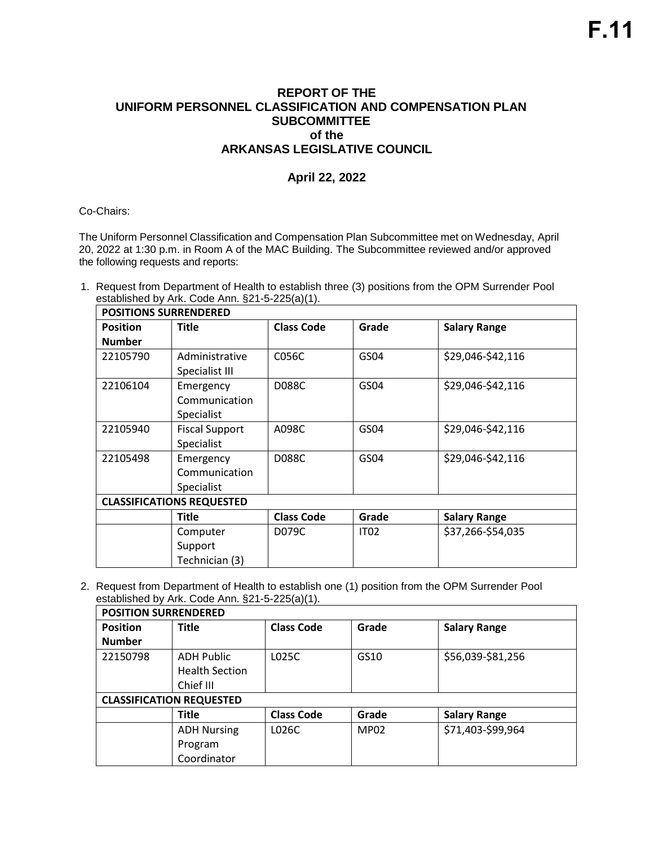٦

## **REPORT OF THE UNIFORM PERSONNEL CLASSIFICATION AND COMPENSATION PLAN SUBCOMMITTEE of the ARKANSAS LEGISLATIVE COUNCIL**

## **April 22, 2022**

Co-Chairs:

The Uniform Personnel Classification and Compensation Plan Subcommittee met on Wednesday, April 20, 2022 at 1:30 p.m. in Room A of the MAC Building. The Subcommittee reviewed and/or approved the following requests and reports:

1. Request from Department of Health to establish three (3) positions from the OPM Surrender Pool established by Ark. Code Ann. §21-5-225(a)(1).

| <b>POSITIONS SURRENDERED</b> |                                  |                   |             |                     |  |  |  |
|------------------------------|----------------------------------|-------------------|-------------|---------------------|--|--|--|
| <b>Position</b>              | <b>Title</b>                     | <b>Class Code</b> | Grade       | <b>Salary Range</b> |  |  |  |
| <b>Number</b>                |                                  |                   |             |                     |  |  |  |
| 22105790                     | Administrative                   | C056C             | GS04        | \$29,046-\$42,116   |  |  |  |
|                              | Specialist III                   |                   |             |                     |  |  |  |
| 22106104                     | Emergency                        | <b>D088C</b>      | GS04        | \$29,046-\$42,116   |  |  |  |
|                              | Communication                    |                   |             |                     |  |  |  |
|                              | Specialist                       |                   |             |                     |  |  |  |
| 22105940                     | <b>Fiscal Support</b>            | A098C             | GS04        | \$29,046-\$42,116   |  |  |  |
|                              | <b>Specialist</b>                |                   |             |                     |  |  |  |
| 22105498                     | Emergency                        | D088C             | GS04        | \$29,046-\$42,116   |  |  |  |
|                              | Communication                    |                   |             |                     |  |  |  |
|                              | Specialist                       |                   |             |                     |  |  |  |
|                              | <b>CLASSIFICATIONS REQUESTED</b> |                   |             |                     |  |  |  |
|                              | <b>Title</b>                     | <b>Class Code</b> | Grade       | <b>Salary Range</b> |  |  |  |
|                              | Computer                         | D079C             | <b>IT02</b> | \$37,266-\$54,035   |  |  |  |
|                              | Support                          |                   |             |                     |  |  |  |
|                              | Technician (3)                   |                   |             |                     |  |  |  |

2. Request from Department of Health to establish one (1) position from the OPM Surrender Pool established by Ark. Code Ann. §21-5-225(a)(1).

| <b>POSITION SURRENDERED</b> |                                 |                   |             |                     |  |  |  |
|-----------------------------|---------------------------------|-------------------|-------------|---------------------|--|--|--|
| <b>Position</b>             | <b>Title</b>                    | <b>Class Code</b> | Grade       | <b>Salary Range</b> |  |  |  |
| <b>Number</b>               |                                 |                   |             |                     |  |  |  |
| 22150798                    | <b>ADH Public</b>               | L025C             | GS10        | \$56,039-\$81,256   |  |  |  |
|                             | <b>Health Section</b>           |                   |             |                     |  |  |  |
|                             | Chief III                       |                   |             |                     |  |  |  |
|                             | <b>CLASSIFICATION REQUESTED</b> |                   |             |                     |  |  |  |
|                             | <b>Title</b>                    | <b>Class Code</b> | Grade       | <b>Salary Range</b> |  |  |  |
|                             | <b>ADH Nursing</b>              | L026C             | <b>MP02</b> | \$71,403-\$99,964   |  |  |  |
|                             | Program                         |                   |             |                     |  |  |  |
|                             | Coordinator                     |                   |             |                     |  |  |  |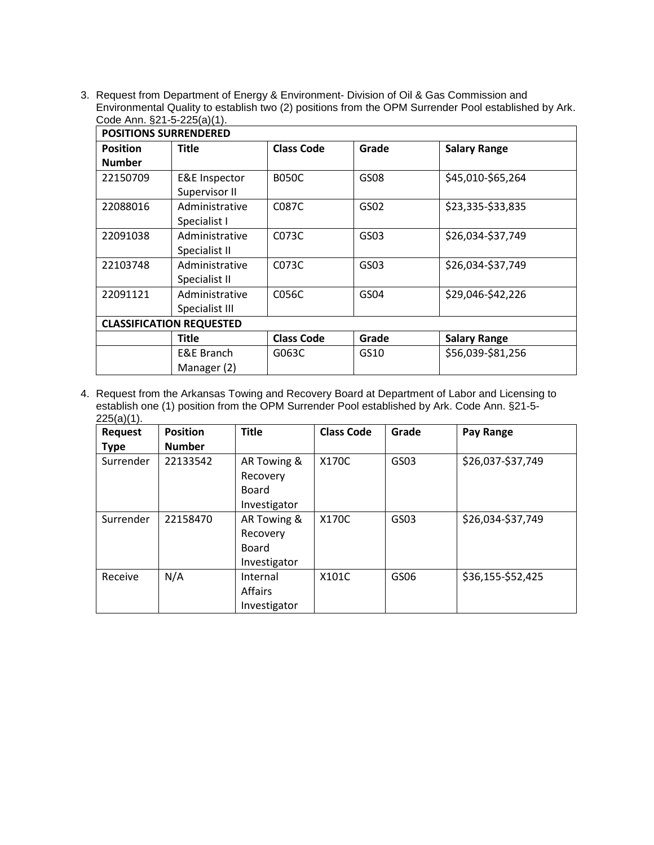3. Request from Department of Energy & Environment- Division of Oil & Gas Commission and Environmental Quality to establish two (2) positions from the OPM Surrender Pool established by Ark. Code Ann. §21-5-225(a)(1).

| <b>POSITIONS SURRENDERED</b> |                                 |                   |                  |                     |  |  |  |
|------------------------------|---------------------------------|-------------------|------------------|---------------------|--|--|--|
| <b>Position</b>              | <b>Title</b>                    | <b>Class Code</b> | Grade            | <b>Salary Range</b> |  |  |  |
| <b>Number</b>                |                                 |                   |                  |                     |  |  |  |
| 22150709                     | <b>E&amp;E</b> Inspector        | <b>B050C</b>      | GS08             | \$45,010-\$65,264   |  |  |  |
|                              | Supervisor II                   |                   |                  |                     |  |  |  |
| 22088016                     | Administrative                  | C087C             | GS02             | \$23,335-\$33,835   |  |  |  |
|                              | Specialist I                    |                   |                  |                     |  |  |  |
| 22091038                     | Administrative                  | C073C             | GS03             | \$26,034-\$37,749   |  |  |  |
|                              | Specialist II                   |                   |                  |                     |  |  |  |
| 22103748                     | Administrative                  | C073C             | GS03             | \$26,034-\$37,749   |  |  |  |
|                              | Specialist II                   |                   |                  |                     |  |  |  |
| 22091121                     | Administrative                  | C056C             | GS <sub>04</sub> | \$29,046-\$42,226   |  |  |  |
|                              | Specialist III                  |                   |                  |                     |  |  |  |
|                              | <b>CLASSIFICATION REQUESTED</b> |                   |                  |                     |  |  |  |
|                              | Title                           | <b>Class Code</b> | Grade            | <b>Salary Range</b> |  |  |  |
|                              | E&E Branch                      | G063C             | GS10             | \$56,039-\$81,256   |  |  |  |
|                              | Manager (2)                     |                   |                  |                     |  |  |  |

4. Request from the Arkansas Towing and Recovery Board at Department of Labor and Licensing to establish one (1) position from the OPM Surrender Pool established by Ark. Code Ann. §21-5-  $225(a)(1)$ .

| <b>Request</b><br><b>Type</b> | <b>Position</b><br><b>Number</b> | <b>Title</b>                                            | <b>Class Code</b> | Grade | Pay Range         |
|-------------------------------|----------------------------------|---------------------------------------------------------|-------------------|-------|-------------------|
| Surrender                     | 22133542                         | AR Towing &<br>Recovery<br>Board<br>Investigator        | X170C             | GS03  | \$26,037-\$37,749 |
| Surrender                     | 22158470                         | AR Towing &<br>Recovery<br><b>Board</b><br>Investigator | X170C             | GS03  | \$26,034-\$37,749 |
| Receive                       | N/A                              | Internal<br><b>Affairs</b><br>Investigator              | X101C             | GS06  | \$36,155-\$52,425 |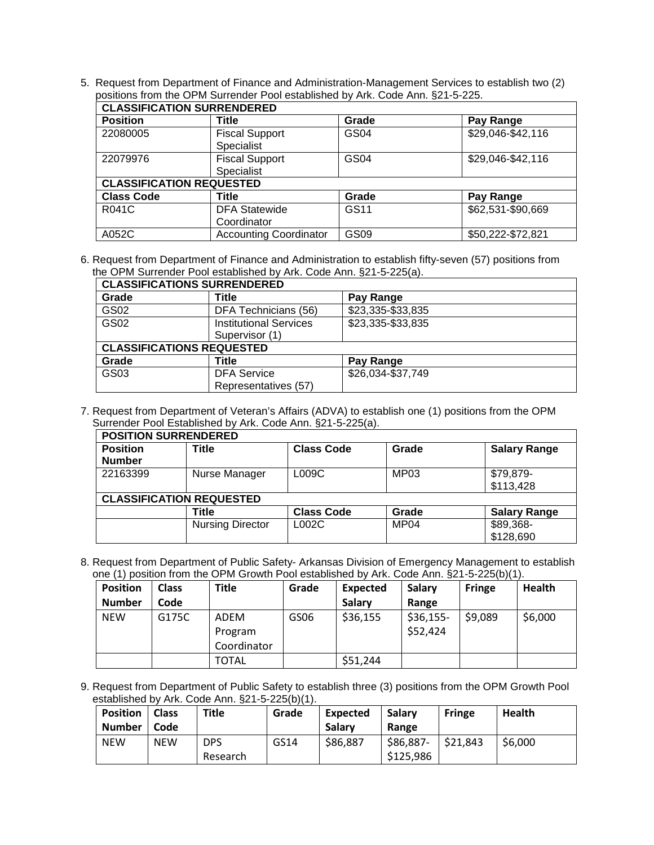5. Request from Department of Finance and Administration-Management Services to establish two (2) positions from the OPM Surrender Pool established by Ark. Code Ann. §21-5-225.

| <b>CLASSIFICATION SURRENDERED</b> |                               |             |                   |  |  |  |
|-----------------------------------|-------------------------------|-------------|-------------------|--|--|--|
| <b>Position</b>                   | <b>Title</b>                  | Grade       | Pay Range         |  |  |  |
| 22080005                          | <b>Fiscal Support</b>         | <b>GS04</b> | \$29,046-\$42,116 |  |  |  |
|                                   | Specialist                    |             |                   |  |  |  |
| 22079976                          | <b>Fiscal Support</b>         | GS04        | \$29,046-\$42,116 |  |  |  |
|                                   | Specialist                    |             |                   |  |  |  |
| <b>CLASSIFICATION REQUESTED</b>   |                               |             |                   |  |  |  |
| <b>Class Code</b>                 | Title                         | Grade       | Pay Range         |  |  |  |
| R041C                             | <b>DFA Statewide</b>          | GS11        | \$62,531-\$90,669 |  |  |  |
|                                   | Coordinator                   |             |                   |  |  |  |
| A052C                             | <b>Accounting Coordinator</b> | GS09        | \$50,222-\$72,821 |  |  |  |

6. Request from Department of Finance and Administration to establish fifty-seven (57) positions from the OPM Surrender Pool established by Ark. Code Ann. §21-5-225(a).

| <b>CLASSIFICATIONS SURRENDERED</b> |                               |                   |  |  |  |  |
|------------------------------------|-------------------------------|-------------------|--|--|--|--|
| Grade                              | Title                         | Pay Range         |  |  |  |  |
| GS02                               | DFA Technicians (56)          | \$23,335-\$33,835 |  |  |  |  |
| GS02                               | <b>Institutional Services</b> | \$23,335-\$33,835 |  |  |  |  |
|                                    | Supervisor (1)                |                   |  |  |  |  |
| <b>CLASSIFICATIONS REQUESTED</b>   |                               |                   |  |  |  |  |
| Grade                              | Title                         | Pay Range         |  |  |  |  |
| GS03                               | <b>DFA Service</b>            | \$26,034-\$37,749 |  |  |  |  |
|                                    | Representatives (57)          |                   |  |  |  |  |

7. Request from Department of Veteran's Affairs (ADVA) to establish one (1) positions from the OPM Surrender Pool Established by Ark. Code Ann. §21-5-225(a).

| <b>POSITION SURRENDERED</b> |                                 |                   |                  |                     |  |  |  |  |
|-----------------------------|---------------------------------|-------------------|------------------|---------------------|--|--|--|--|
| <b>Position</b>             | <b>Title</b>                    | <b>Class Code</b> | Grade            | <b>Salary Range</b> |  |  |  |  |
| <b>Number</b>               |                                 |                   |                  |                     |  |  |  |  |
| 22163399                    | Nurse Manager                   | L009C             | MP03             | \$79,879-           |  |  |  |  |
|                             |                                 |                   |                  | \$113,428           |  |  |  |  |
|                             | <b>CLASSIFICATION REQUESTED</b> |                   |                  |                     |  |  |  |  |
|                             | Title                           | <b>Class Code</b> | Grade            | <b>Salary Range</b> |  |  |  |  |
|                             | <b>Nursing Director</b>         | LOO2C             | MP <sub>04</sub> | \$89,368-           |  |  |  |  |
|                             |                                 |                   |                  | \$128,690           |  |  |  |  |

8. Request from Department of Public Safety- Arkansas Division of Emergency Management to establish one (1) position from the OPM Growth Pool established by Ark. Code Ann. §21-5-225(b)(1).

| <b>Position</b> | <b>Class</b> | Title                          | Grade | <b>Expected</b> | Salary                 | <b>Fringe</b> | <b>Health</b> |
|-----------------|--------------|--------------------------------|-------|-----------------|------------------------|---------------|---------------|
| <b>Number</b>   | Code         |                                |       | Salary          | Range                  |               |               |
| <b>NEW</b>      | G175C        | ADEM<br>Program<br>Coordinator | GS06  | \$36,155        | $$36,155-$<br>\$52,424 | \$9,089       | \$6,000       |
|                 |              | TOTAL                          |       | \$51,244        |                        |               |               |

9. Request from Department of Public Safety to establish three (3) positions from the OPM Growth Pool established by Ark. Code Ann. §21-5-225(b)(1).

| <b>Position</b> | <b>Class</b> | Title      | Grade | Expected      | Salary    | <b>Fringe</b> | Health  |
|-----------------|--------------|------------|-------|---------------|-----------|---------------|---------|
| <b>Number</b>   | Code         |            |       | <b>Salary</b> | Range     |               |         |
| <b>NEW</b>      | <b>NEW</b>   | <b>DPS</b> | GS14  | \$86,887      | \$86,887- | \$21,843      | \$6,000 |
|                 |              | Research   |       |               | \$125,986 |               |         |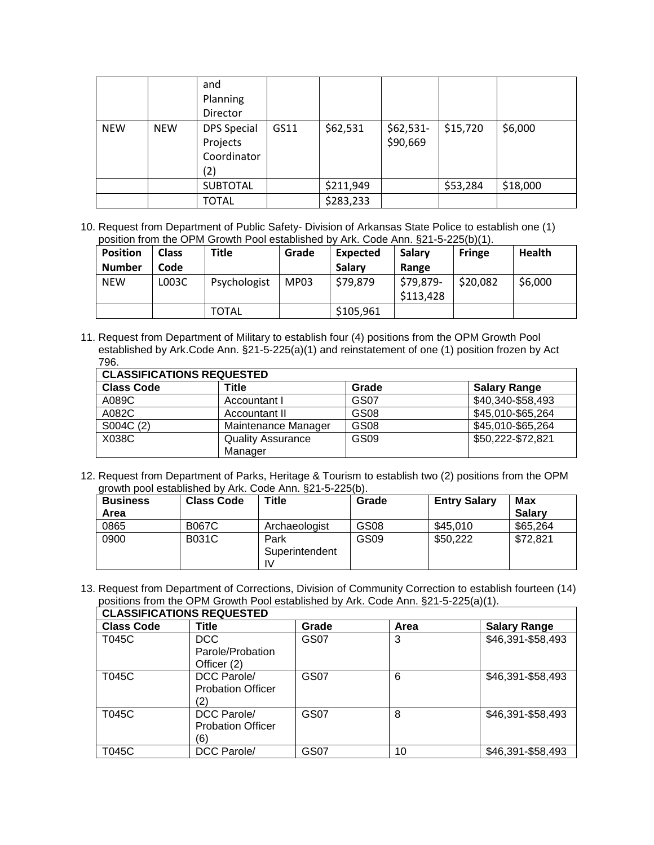|            |            | and<br>Planning<br>Director                          |      |           |                       |          |          |
|------------|------------|------------------------------------------------------|------|-----------|-----------------------|----------|----------|
| <b>NEW</b> | <b>NEW</b> | <b>DPS Special</b><br>Projects<br>Coordinator<br>(2) | GS11 | \$62,531  | \$62,531-<br>\$90,669 | \$15,720 | \$6,000  |
|            |            | <b>SUBTOTAL</b>                                      |      | \$211,949 |                       | \$53,284 | \$18,000 |
|            |            | <b>TOTAL</b>                                         |      | \$283,233 |                       |          |          |

10. Request from Department of Public Safety- Division of Arkansas State Police to establish one (1) position from the OPM Growth Pool established by Ark. Code Ann. §21-5-225(b)(1).

| <b>Position</b><br><b>Number</b> | <b>Class</b><br>Code | Title        | Grade | <b>Expected</b><br>Salary | Salary<br>Range        | <b>Fringe</b> | <b>Health</b> |
|----------------------------------|----------------------|--------------|-------|---------------------------|------------------------|---------------|---------------|
| <b>NEW</b>                       | L003C                | Psychologist | MP03  | \$79,879                  | \$79,879-<br>\$113,428 | \$20,082      | \$6,000       |
|                                  |                      | <b>TOTAL</b> |       | \$105,961                 |                        |               |               |

11. Request from Department of Military to establish four (4) positions from the OPM Growth Pool established by Ark.Code Ann. §21-5-225(a)(1) and reinstatement of one (1) position frozen by Act 796.

| <b>CLASSIFICATIONS REQUESTED</b> |                          |                  |                     |  |  |  |  |
|----------------------------------|--------------------------|------------------|---------------------|--|--|--|--|
| <b>Class Code</b>                | Title                    | Grade            | <b>Salary Range</b> |  |  |  |  |
| A089C                            | Accountant I             | GS07             | \$40,340-\$58,493   |  |  |  |  |
| A082C                            | Accountant II            | <b>GS08</b>      | \$45,010-\$65,264   |  |  |  |  |
| S004C (2)                        | Maintenance Manager      | GS <sub>08</sub> | \$45,010-\$65,264   |  |  |  |  |
| X038C                            | <b>Quality Assurance</b> | GS <sub>09</sub> | \$50,222-\$72,821   |  |  |  |  |
|                                  | Manager                  |                  |                     |  |  |  |  |

12. Request from Department of Parks, Heritage & Tourism to establish two (2) positions from the OPM growth pool established by Ark. Code Ann. §21-5-225(b).

| <b>Business</b> | <b>Class Code</b> | Title          | Grade            | <b>Entry Salary</b> | Max           |
|-----------------|-------------------|----------------|------------------|---------------------|---------------|
| Area            |                   |                |                  |                     | <b>Salary</b> |
| 0865            | <b>B067C</b>      | Archaeologist  | GS08             | \$45,010            | \$65,264      |
| 0900            | <b>B031C</b>      | Park           | GS <sub>09</sub> | \$50,222            | \$72,821      |
|                 |                   | Superintendent |                  |                     |               |
|                 |                   | IV             |                  |                     |               |

13. Request from Department of Corrections, Division of Community Correction to establish fourteen (14) positions from the OPM Growth Pool established by Ark. Code Ann. §21-5-225(a)(1).  $\overline{\mathbf{u}}$ 

| <b>CLASSIFICATIONS REQUESTED</b> |                                                |       |      |                     |  |  |  |  |
|----------------------------------|------------------------------------------------|-------|------|---------------------|--|--|--|--|
| <b>Class Code</b>                | Title                                          | Grade | Area | <b>Salary Range</b> |  |  |  |  |
| T045C                            | <b>DCC</b><br>Parole/Probation<br>Officer (2)  | GS07  | 3    | \$46,391-\$58,493   |  |  |  |  |
| T045C                            | DCC Parole/<br><b>Probation Officer</b><br>2   | GS07  | 6    | \$46,391-\$58,493   |  |  |  |  |
| T045C                            | DCC Parole/<br><b>Probation Officer</b><br>(6) | GS07  | 8    | \$46,391-\$58,493   |  |  |  |  |
| T045C                            | DCC Parole/                                    | GS07  | 10   | \$46,391-\$58,493   |  |  |  |  |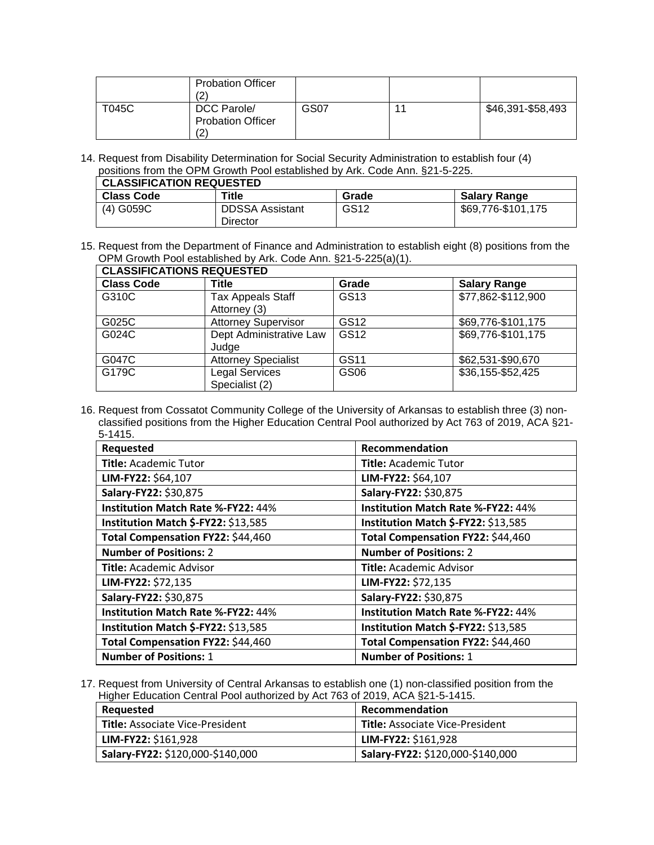|       | <b>Probation Officer</b><br>(2                |      |                   |
|-------|-----------------------------------------------|------|-------------------|
| T045C | DCC Parole/<br><b>Probation Officer</b><br>(2 | GS07 | \$46,391-\$58,493 |

14. Request from Disability Determination for Social Security Administration to establish four (4) positions from the OPM Growth Pool established by Ark. Code Ann. §21-5-225.

| <b>CLASSIFICATION REQUESTED</b> |                                    |       |                     |  |  |
|---------------------------------|------------------------------------|-------|---------------------|--|--|
| <b>Class Code</b>               | Title                              | Grade | <b>Salary Range</b> |  |  |
| $(4)$ G059C                     | <b>DDSSA Assistant</b><br>Director | GS12  | \$69,776-\$101,175  |  |  |

15. Request from the Department of Finance and Administration to establish eight (8) positions from the OPM Growth Pool established by Ark. Code Ann. §21-5-225(a)(1).

| <b>CLASSIFICATIONS REQUESTED</b> |                                          |                  |                     |  |  |  |
|----------------------------------|------------------------------------------|------------------|---------------------|--|--|--|
| <b>Class Code</b>                | Title                                    | Grade            | <b>Salary Range</b> |  |  |  |
| G310C                            | <b>Tax Appeals Staff</b><br>Attorney (3) | GS <sub>13</sub> | \$77,862-\$112,900  |  |  |  |
| G025C                            | <b>Attorney Supervisor</b>               | GS12             | \$69,776-\$101,175  |  |  |  |
| G024C                            | Dept Administrative Law<br>Judge         | GS12             | \$69,776-\$101,175  |  |  |  |
| G047C                            | <b>Attorney Specialist</b>               | GS11             | \$62,531-\$90,670   |  |  |  |
| G179C                            | <b>Legal Services</b><br>Specialist (2)  | GS06             | \$36,155-\$52,425   |  |  |  |

16. Request from Cossatot Community College of the University of Arkansas to establish three (3) nonclassified positions from the Higher Education Central Pool authorized by Act 763 of 2019, ACA §21- 5-1415.

| Requested                                 | Recommendation                            |
|-------------------------------------------|-------------------------------------------|
| <b>Title: Academic Tutor</b>              | <b>Title: Academic Tutor</b>              |
| LIM-FY22: \$64,107                        | LIM-FY22: \$64,107                        |
| Salary-FY22: \$30,875                     | Salary-FY22: \$30,875                     |
| <b>Institution Match Rate %-FY22: 44%</b> | <b>Institution Match Rate %-FY22: 44%</b> |
| Institution Match \$-FY22: \$13,585       | Institution Match \$-FY22: \$13,585       |
| Total Compensation FY22: \$44,460         | Total Compensation FY22: \$44,460         |
| <b>Number of Positions: 2</b>             | <b>Number of Positions: 2</b>             |
| <b>Title: Academic Advisor</b>            | Title: Academic Advisor                   |
| LIM-FY22: \$72,135                        | LIM-FY22: \$72,135                        |
| Salary-FY22: \$30,875                     | Salary-FY22: \$30,875                     |
| Institution Match Rate %-FY22: 44%        | Institution Match Rate %-FY22: 44%        |
| Institution Match \$-FY22: \$13,585       | Institution Match \$-FY22: \$13,585       |
| Total Compensation FY22: \$44,460         | Total Compensation FY22: \$44,460         |
| <b>Number of Positions: 1</b>             | <b>Number of Positions: 1</b>             |

17. Request from University of Central Arkansas to establish one (1) non-classified position from the Higher Education Central Pool authorized by Act 763 of 2019, ACA §21-5-1415.

| Requested                              | Recommendation                         |
|----------------------------------------|----------------------------------------|
| <b>Title:</b> Associate Vice-President | <b>Title: Associate Vice-President</b> |
| LIM-FY22: \$161,928                    | LIM-FY22: \$161,928                    |
| Salary-FY22: \$120,000-\$140,000       | Salary-FY22: \$120,000-\$140,000       |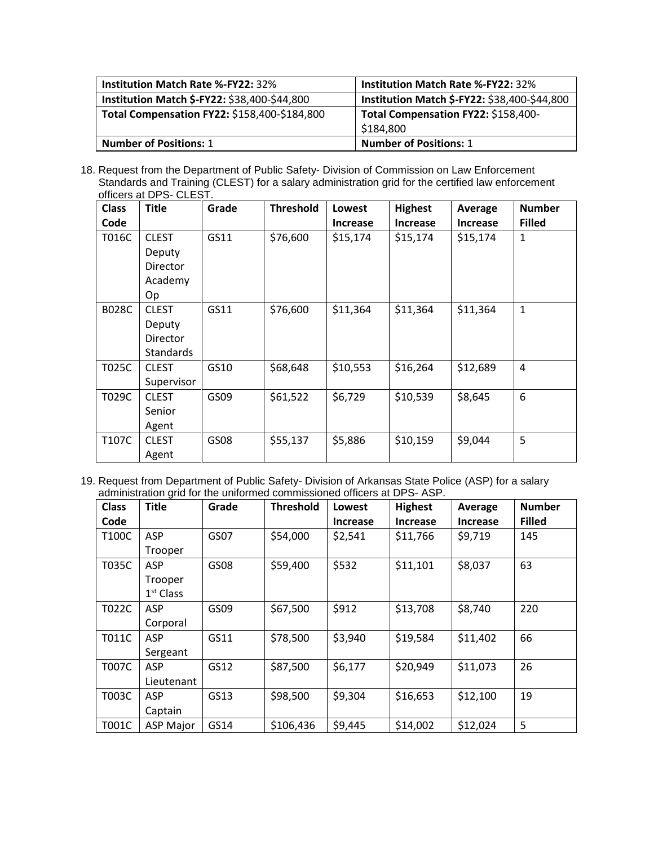| <b>Institution Match Rate %-FY22: 32%</b>    | <b>Institution Match Rate %-FY22: 32%</b>    |
|----------------------------------------------|----------------------------------------------|
| Institution Match \$-FY22: \$38,400-\$44,800 | Institution Match \$-FY22: \$38,400-\$44,800 |
| Total Compensation FY22: \$158,400-\$184,800 | Total Compensation FY22: \$158,400-          |
|                                              | \$184,800                                    |
| <b>Number of Positions: 1</b>                | <b>Number of Positions: 1</b>                |

18. Request from the Department of Public Safety- Division of Commission on Law Enforcement Standards and Training (CLEST) for a salary administration grid for the certified law enforcement officers at DPS- CLEST.

| <b>Class</b> | <b>Title</b>     | Grade | <b>Threshold</b> | <b>Lowest</b>   | <b>Highest</b>  | Average         | <b>Number</b> |
|--------------|------------------|-------|------------------|-----------------|-----------------|-----------------|---------------|
| Code         |                  |       |                  | <b>Increase</b> | <b>Increase</b> | <b>Increase</b> | <b>Filled</b> |
| T016C        | <b>CLEST</b>     | GS11  | \$76,600         | \$15,174        | \$15,174        | \$15,174        | 1             |
|              | Deputy           |       |                  |                 |                 |                 |               |
|              | <b>Director</b>  |       |                  |                 |                 |                 |               |
|              | Academy          |       |                  |                 |                 |                 |               |
|              | Op               |       |                  |                 |                 |                 |               |
| <b>B028C</b> | <b>CLEST</b>     | GS11  | \$76,600         | \$11,364        | \$11,364        | \$11,364        | 1             |
|              | Deputy           |       |                  |                 |                 |                 |               |
|              | Director         |       |                  |                 |                 |                 |               |
|              | <b>Standards</b> |       |                  |                 |                 |                 |               |
| T025C        | <b>CLEST</b>     | GS10  | \$68,648         | \$10,553        | \$16,264        | \$12,689        | 4             |
|              | Supervisor       |       |                  |                 |                 |                 |               |
| T029C        | <b>CLEST</b>     | GS09  | \$61,522         | \$6,729         | \$10,539        | \$8,645         | 6             |
|              | Senior           |       |                  |                 |                 |                 |               |
|              | Agent            |       |                  |                 |                 |                 |               |
| T107C        | <b>CLEST</b>     | GS08  | \$55,137         | \$5,886         | \$10,159        | \$9,044         | 5             |
|              | Agent            |       |                  |                 |                 |                 |               |

19. Request from Department of Public Safety- Division of Arkansas State Police (ASP) for a salary administration grid for the uniformed commissioned officers at DPS- ASP.

| <b>Class</b> | <b>Title</b>     | Grade | <b>Threshold</b> | Lowest          | <b>Highest</b>  | Average         | <b>Number</b> |
|--------------|------------------|-------|------------------|-----------------|-----------------|-----------------|---------------|
| Code         |                  |       |                  | <b>Increase</b> | <b>Increase</b> | <b>Increase</b> | <b>Filled</b> |
| T100C        | ASP              | GS07  | \$54,000         | \$2,541         | \$11,766        | \$9,719         | 145           |
|              | Trooper          |       |                  |                 |                 |                 |               |
| T035C        | ASP              | GS08  | \$59,400         | \$532           | \$11,101        | \$8,037         | 63            |
|              | Trooper          |       |                  |                 |                 |                 |               |
|              | $1st$ Class      |       |                  |                 |                 |                 |               |
| T022C        | ASP              | GS09  | \$67,500         | \$912           | \$13,708        | \$8,740         | 220           |
|              | Corporal         |       |                  |                 |                 |                 |               |
| <b>T011C</b> | <b>ASP</b>       | GS11  | \$78,500         | \$3,940         | \$19,584        | \$11,402        | 66            |
|              | Sergeant         |       |                  |                 |                 |                 |               |
| <b>T007C</b> | <b>ASP</b>       | GS12  | \$87,500         | \$6,177         | \$20,949        | \$11,073        | 26            |
|              | Lieutenant       |       |                  |                 |                 |                 |               |
| T003C        | ASP              | GS13  | \$98,500         | \$9,304         | \$16,653        | \$12,100        | 19            |
|              | Captain          |       |                  |                 |                 |                 |               |
| T001C        | <b>ASP Major</b> | GS14  | \$106,436        | \$9,445         | \$14,002        | \$12,024        | 5             |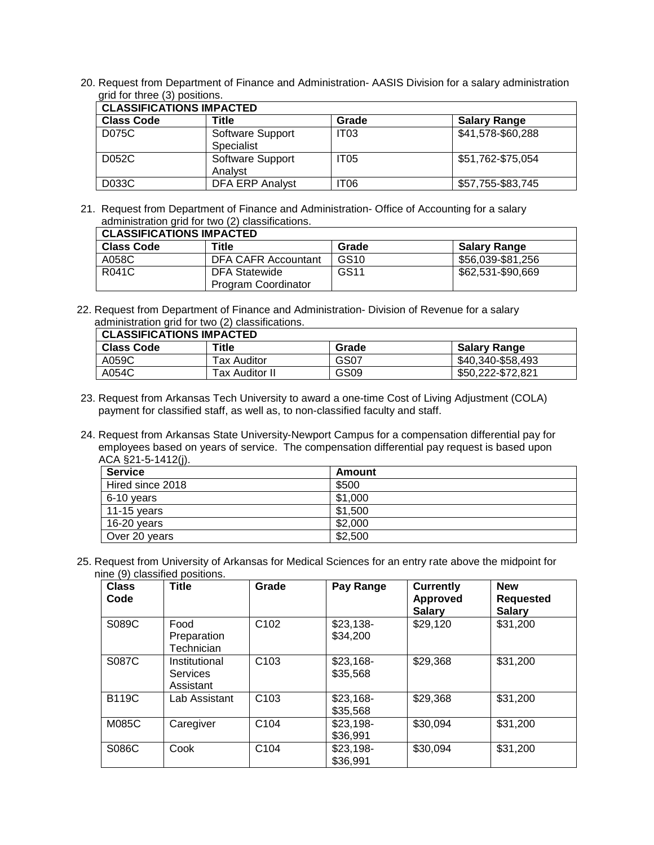20. Request from Department of Finance and Administration- AASIS Division for a salary administration grid for three (3) positions.

| <b>CLASSIFICATIONS IMPACTED</b> |                                |                  |                     |  |  |  |  |
|---------------------------------|--------------------------------|------------------|---------------------|--|--|--|--|
| <b>Class Code</b>               | Title                          | Grade            | <b>Salary Range</b> |  |  |  |  |
| D075C                           | Software Support<br>Specialist | IT <sub>03</sub> | \$41,578-\$60,288   |  |  |  |  |
| D052C                           | Software Support<br>Analyst    | IT <sub>05</sub> | \$51,762-\$75,054   |  |  |  |  |
| D033C                           | <b>DFA ERP Analyst</b>         | IT06             | \$57,755-\$83,745   |  |  |  |  |

21. Request from Department of Finance and Administration- Office of Accounting for a salary administration grid for two (2) classifications.

| <b>CLASSIFICATIONS IMPACTED</b> |                     |                  |                     |  |  |  |
|---------------------------------|---------------------|------------------|---------------------|--|--|--|
| <b>Class Code</b>               | Title               | Grade            | <b>Salary Range</b> |  |  |  |
| A058C                           | DFA CAFR Accountant | GS <sub>10</sub> | \$56,039-\$81,256   |  |  |  |
| R041C                           | DFA Statewide       | GS <sub>11</sub> | \$62,531-\$90,669   |  |  |  |
|                                 | Program Coordinator |                  |                     |  |  |  |

22. Request from Department of Finance and Administration- Division of Revenue for a salary administration grid for two (2) classifications.

| <b>CLASSIFICATIONS IMPACTED</b> |                |       |                     |
|---------------------------------|----------------|-------|---------------------|
| <b>Class Code</b>               | Title          | Grade | <b>Salary Range</b> |
| A059C                           | Tax Auditor    | GS07  | \$40,340-\$58,493   |
| A054C                           | Tax Auditor II | GS09  | \$50,222-\$72,821   |

- 23. Request from Arkansas Tech University to award a one-time Cost of Living Adjustment (COLA) payment for classified staff, as well as, to non-classified faculty and staff.
- 24. Request from Arkansas State University-Newport Campus for a compensation differential pay for employees based on years of service. The compensation differential pay request is based upon ACA §21-5-1412(j).

| <b>Service</b>   | Amount  |
|------------------|---------|
| Hired since 2018 | \$500   |
| 6-10 years       | \$1,000 |
| $11-15$ years    | \$1,500 |
| 16-20 years      | \$2,000 |
| Over 20 years    | \$2,500 |

25. Request from University of Arkansas for Medical Sciences for an entry rate above the midpoint for nine (9) classified positions.

| <b>Class</b><br>Code | <b>Title</b>                                  | Grade            | Pay Range              | <b>Currently</b><br><b>Approved</b><br><b>Salary</b> | <b>New</b><br><b>Requested</b><br><b>Salary</b> |
|----------------------|-----------------------------------------------|------------------|------------------------|------------------------------------------------------|-------------------------------------------------|
| S089C                | Food<br>Preparation<br>Technician             | C <sub>102</sub> | $$23,138-$<br>\$34.200 | \$29,120                                             | \$31,200                                        |
| S087C                | Institutional<br><b>Services</b><br>Assistant | C <sub>103</sub> | $$23,168-$<br>\$35,568 | \$29,368                                             | \$31,200                                        |
| <b>B119C</b>         | Lab Assistant                                 | C <sub>103</sub> | $$23,168-$<br>\$35,568 | \$29,368                                             | \$31,200                                        |
| M085C                | Caregiver                                     | C104             | \$23,198-<br>\$36,991  | \$30,094                                             | \$31,200                                        |
| S086C                | Cook                                          | C104             | $$23,198-$<br>\$36,991 | \$30,094                                             | \$31,200                                        |